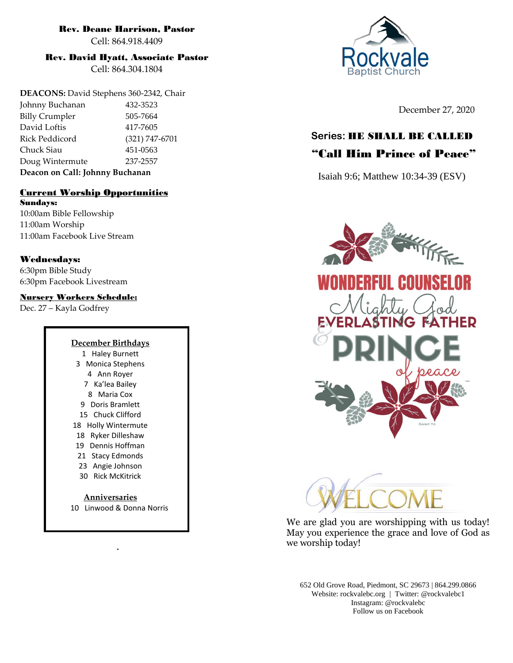### Rev. Deane Harrison, Pastor

Cell: 864.918.4409

### Rev. David Hyatt, Associate Pastor

Cell: 864.304.1804

**DEACONS:** David Stephens 360-2342, Chair Johnny Buchanan 432-3523 Billy Crumpler 505-7664 David Loftis 417-7605 Rick Peddicord (321) 747-6701 Chuck Siau 451-0563 Doug Wintermute 237-2557 **Deacon on Call: Johnny Buchanan**

### Current Worship Opportunities Sundays:

10:00am Bible Fellowship 11:00am Worship 11:00am Facebook Live Stream

### Wednesdays:

6:30pm Bible Study 6:30pm Facebook Livestream

### Nursery Workers Schedule:

Dec. 27 – Kayla Godfrey

### **December Birthdays** 1 Haley Burnett 3 Monica Stephens 4 Ann Royer 7 Ka'lea Bailey

8 Maria Cox 9 Doris Bramlett 15 Chuck Clifford 18 Holly Wintermute 18 Ryker Dilleshaw 19 Dennis Hoffman

- 21 Stacy Edmonds
- 23 Angie Johnson
- 30 Rick McKitrick

**Anniversaries** 10 Linwood & Donna Norris

**.**



December 27, 2020

# **Series:** HE SHALL BE CALLED

# "Call Him Prince of Peace"

Isaiah 9:6; Matthew 10:34-39 (ESV)





We are glad you are worshipping with us today! May you experience the grace and love of God as we worship today!

652 Old Grove Road, Piedmont, SC 29673 | 864.299.0866 Website: rockvalebc.org *|* Twitter: @rockvalebc1 Instagram: @rockvalebc Follow us on Facebook